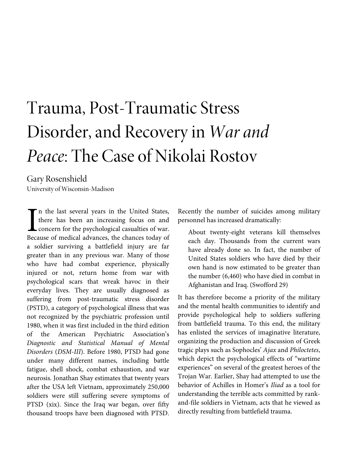# Trauma, Post-Traumatic Stress Disorder, and Recovery in *War and Peace*: The Case of Nikolai Rostov

Gary Rosenshield University of Wisconsin-Madison

n the last several years in the United States, there has been an increasing focus on and concern for the psychological casualties of war. Because of medical advances, the chances today of a soldier surviving a battlefield injury are far greater than in any previous war. Many of those who have had combat experience, physically injured or not, return home from war with psychological scars that wreak havoc in their everyday lives. They are usually diagnosed as suffering from post-traumatic stress disorder (PSTD), a category of psychological illness that was not recognized by the psychiatric profession until 1980, when it was first included in the third edition of the American Psychiatric Association's *Diagnostic and Statistical Manual of Mental Disorders* (*DSM-III*). Before 1980, PTSD had gone under many different names, including battle fatigue, shell shock, combat exhaustion, and war neurosis. Jonathan Shay estimates that twenty years after the USA left Vietnam, approximately 250,000 soldiers were still suffering severe symptoms of PTSD (xix). Since the Iraq war began, over fifty thousand troops have been diagnosed with PTSD.  $\begin{bmatrix} n \\ the \\ con \end{bmatrix}$ 

Recently the number of suicides among military personnel has increased dramatically:

About twenty-eight veterans kill themselves each day. Thousands from the current wars have already done so. In fact, the number of United States soldiers who have died by their own hand is now estimated to be greater than the number (6,460) who have died in combat in Afghanistan and Iraq. (Swofford 29)

It has therefore become a priority of the military and the mental health communities to identify and provide psychological help to soldiers suffering from battlefield trauma. To this end, the military has enlisted the services of imaginative literature, organizing the production and discussion of Greek tragic plays such as Sophocles' *Ajax* and *Philoctetes*, which depict the psychological effects of "wartime experiences" on several of the greatest heroes of the Trojan War. Earlier, Shay had attempted to use the behavior of Achilles in Homer's *Iliad* as a tool for understanding the terrible acts committed by rankand-file soldiers in Vietnam, acts that he viewed as directly resulting from battlefield trauma.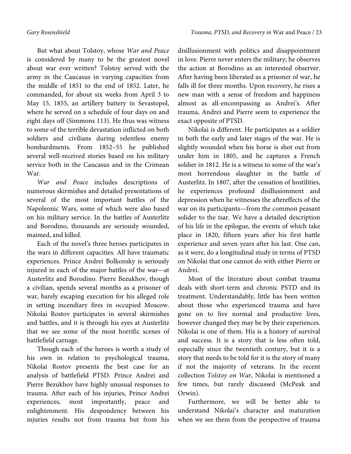But what about Tolstoy, whose *War and Peace* is considered by many to be the greatest novel about war ever written? Tolstoy served with the army in the Caucasus in varying capacities from the middle of 1851 to the end of 1852. Later, he commanded, for about six weeks from April 3 to May 15, 1855, an artillery battery in Sevastopol, where he served on a schedule of four days on and eight days off (Simmons 113). He thus was witness to some of the terrible devastation inflicted on both soldiers and civilians during relentless enemy bombardments. From 1852–55 he published several well-received stories based on his military service both in the Caucasus and in the Crimean War.

*War and Peace* includes descriptions of numerous skirmishes and detailed presentations of several of the most important battles of the Napoleonic Wars, some of which were also based on his military service. In the battles of Austerlitz and Borodino, thousands are seriously wounded, maimed, and killed.

Each of the novel's three heroes participates in the wars in different capacities. All have traumatic experiences. Prince Andrei Bolkonsky is seriously injured in each of the major battles of the war—at Austerlitz and Borodino. Pierre Bezukhov, though a civilian, spends several months as a prisoner of war, barely escaping execution for his alleged role in setting incendiary fires in occupied Moscow. Nikolai Rostov participates in several skirmishes and battles, and it is through his eyes at Austerlitz that we see some of the most horrific scenes of battlefield carnage.

Though each of the heroes is worth a study of his own in relation to psychological trauma, Nikolai Rostov presents the best case for an analysis of battlefield PTSD. Prince Andrei and Pierre Bezukhov have highly unusual responses to trauma. After each of his injuries, Prince Andrei experiences, most importantly, peace and enlightenment. His despondency between his injuries results not from trauma but from his

disillusionment with politics and disappointment in love. Pierre never enters the military; he observes the action at Borodino as an interested observer. After having been liberated as a prisoner of war, he falls ill for three months. Upon recovery, he rises a new man with a sense of freedom and happiness almost as all-encompassing as Andrei's. After trauma, Andrei and Pierre seem to experience the exact opposite of PTSD.

Nikolai is different. He participates as a soldier in both the early and later stages of the war. He is slightly wounded when his horse is shot out from under him in 1805, and he captures a French soldier in 1812. He is a witness to some of the war's most horrendous slaughter in the battle of Austerlitz. In 1807, after the cessation of hostilities, he experiences profound disillusionment and depression when he witnesses the aftereffects of the war on its participants—from the common peasant solider to the tsar. We have a detailed description of his life in the epilogue, the events of which take place in 1820, fifteen years after his first battle experience and seven years after his last. One can, as it were, do a longitudinal study in terms of PTSD on Nikolai that one cannot do with either Pierre or Andrei.

Most of the literature about combat trauma deals with short-term and chronic PSTD and its treatment. Understandably, little has been written about those who experienced trauma and have gone on to live normal and productive lives, however changed they may be by their experiences. Nikolai is one of them. His is a history of survival and success. It is a story that is less often told, especially since the twentieth century, but it is a story that needs to be told for it is the story of many if not the majority of veterans. In the recent collection *Tolstoy on War*, Nikolai is mentioned a few times, but rarely discussed (McPeak and Orwin).

Furthermore, we will be better able to understand Nikolai's character and maturation when we see them from the perspective of trauma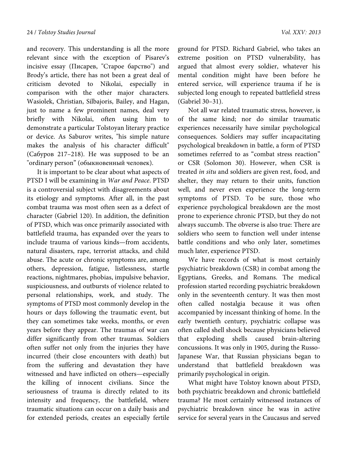and recovery. This understanding is all the more relevant since with the exception of Pisarev's incisive essay (Писарев, "Старое барство") and Brody's article, there has not been a great deal of criticism devoted to Nikolai, especially in comparison with the other major characters. Wasiolek, Christian, Silbajoris, Bailey, and Hagan, just to name a few prominent names, deal very briefly with Nikolai, often using him to demonstrate a particular Tolstoyan literary practice or device. As Saburov writes, "his simple nature makes the analysis of his character difficult" (Сабуров 217–218). He was supposed to be an "ordinary person" (обыкновенный человек).

It is important to be clear about what aspects of PTSD I will be examining in *War and Peace*. PTSD is a controversial subject with disagreements about its etiology and symptoms. After all, in the past combat trauma was most often seen as a defect of character (Gabriel 120). In addition, the definition of PTSD, which was once primarily associated with battlefield trauma, has expanded over the years to include trauma of various kinds—from accidents, natural disasters, rape, terrorist attacks, and child abuse. The acute or chronic symptoms are, among others, depression, fatigue, listlessness, startle reactions, nightmares, phobias, impulsive behavior, suspiciousness, and outbursts of violence related to personal relationships, work, and study. The symptoms of PTSD most commonly develop in the hours or days following the traumatic event, but they can sometimes take weeks, months, or even years before they appear. The traumas of war can differ significantly from other traumas. Soldiers often suffer not only from the injuries they have incurred (their close encounters with death) but from the suffering and devastation they have witnessed and have inflicted on others—especially the killing of innocent civilians. Since the seriousness of trauma is directly related to its intensity and frequency, the battlefield, where traumatic situations can occur on a daily basis and for extended periods, creates an especially fertile ground for PTSD. Richard Gabriel, who takes an extreme position on PTSD vulnerability, has argued that almost every soldier, whatever his mental condition might have been before he entered service, will experience trauma if he is subjected long enough to repeated battlefield stress (Gabriel 30–31).

Not all war related traumatic stress, however, is of the same kind; nor do similar traumatic experiences necessarily have similar psychological consequences. Soldiers may suffer incapacitating psychological breakdown in battle, a form of PTSD sometimes referred to as "combat stress reaction" or CSR (Solomon 30). However, when CSR is treated *in situ* and soldiers are given rest, food, and shelter, they may return to their units, function well, and never even experience the long-term symptoms of PTSD. To be sure, those who experience psychological breakdown are the most prone to experience chronic PTSD, but they do not always succumb. The obverse is also true: There are soldiers who seem to function well under intense battle conditions and who only later, sometimes much later, experience PTSD.

We have records of what is most certainly psychiatric breakdown (CSR) in combat among the Egyptians, Greeks, and Romans. The medical profession started recording psychiatric breakdown only in the seventeenth century. It was then most often called nostalgia because it was often accompanied by incessant thinking of home. In the early twentieth century, psychiatric collapse was often called shell shock because physicians believed that exploding shells caused brain-altering concussions. It was only in 1905, during the Russo-Japanese War, that Russian physicians began to understand that battlefield breakdown was primarily psychological in origin.

What might have Tolstoy known about PTSD, both psychiatric breakdown and chronic battlefield trauma? He most certainly witnessed instances of psychiatric breakdown since he was in active service for several years in the Caucasus and served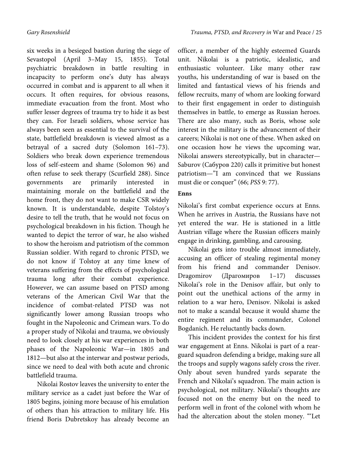six weeks in a besieged bastion during the siege of Sevastopol (April 3–May 15, 1855). Total psychiatric breakdown in battle resulting in incapacity to perform one's duty has always occurred in combat and is apparent to all when it occurs. It often requires, for obvious reasons, immediate evacuation from the front. Most who suffer lesser degrees of trauma try to hide it as best they can. For Israeli soldiers, whose service has always been seen as essential to the survival of the state, battlefield breakdown is viewed almost as a betrayal of a sacred duty (Solomon 161–73). Soldiers who break down experience tremendous loss of self-esteem and shame (Solomon 96) and often refuse to seek therapy (Scurfield 288). Since governments are primarily interested in maintaining morale on the battlefield and the home front, they do not want to make CSR widely known. It is understandable, despite Tolstoy's desire to tell the truth, that he would not focus on psychological breakdown in his fiction. Though he wanted to depict the terror of war, he also wished to show the heroism and patriotism of the common Russian soldier. With regard to chronic PTSD, we do not know if Tolstoy at any time knew of veterans suffering from the effects of psychological trauma long after their combat experience. However, we can assume based on PTSD among veterans of the American Civil War that the incidence of combat-related PTSD was not significantly lower among Russian troops who fought in the Napoleonic and Crimean wars. To do a proper study of Nikolai and trauma, we obviously need to look closely at his war experiences in both phases of the Napoleonic War—in 1805 and 1812—but also at the interwar and postwar periods,

Nikolai Rostov leaves the university to enter the military service as a cadet just before the War of 1805 begins, joining more because of his emulation of others than his attraction to military life. His friend Boris Dubretskoy has already become an

since we need to deal with both acute and chronic

battlefield trauma.

officer, a member of the highly esteemed Guards unit. Nikolai is a patriotic, idealistic, and enthusiastic volunteer. Like many other raw youths, his understanding of war is based on the limited and fantastical views of his friends and fellow recruits, many of whom are looking forward to their first engagement in order to distinguish themselves in battle, to emerge as Russian heroes. There are also many, such as Boris, whose sole interest in the military is the advancement of their careers; Nikolai is not one of these. When asked on one occasion how he views the upcoming war, Nikolai answers stereotypically, but in character— Saburov (Сабуров 220) calls it primitive but honest patriotism—"I am convinced that we Russians must die or conquer" (66; *PSS* 9: 77).

# **Enns**

Nikolai's first combat experience occurs at Enns. When he arrives in Austria, the Russians have not yet entered the war. He is stationed in a little Austrian village where the Russian officers mainly engage in drinking, gambling, and carousing.

Nikolai gets into trouble almost immediately, accusing an officer of stealing regimental money from his friend and commander Denisov. Dragomirov (Драгомиров 1–17) discusses Nikolai's role in the Denisov affair, but only to point out the unethical actions of the army in relation to a war hero, Denisov. Nikolai is asked not to make a scandal because it would shame the entire regiment and its commander, Colonel Bogdanich. He reluctantly backs down.

This incident provides the context for his first war engagement at Enns. Nikolai is part of a rearguard squadron defending a bridge, making sure all the troops and supply wagons safely cross the river. Only about seven hundred yards separate the French and Nikolai's squadron. The main action is psychological, not military. Nikolai's thoughts are focused not on the enemy but on the need to perform well in front of the colonel with whom he had the altercation about the stolen money. "'Let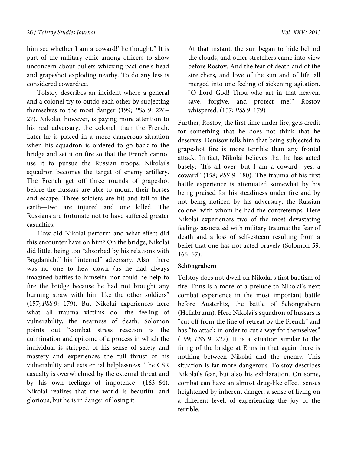him see whether I am a coward!' he thought." It is part of the military ethic among officers to show unconcern about bullets whizzing past one's head and grapeshot exploding nearby. To do any less is considered cowardice.

Tolstoy describes an incident where a general and a colonel try to outdo each other by subjecting themselves to the most danger (199; *PSS* 9: 226– 27). Nikolai, however, is paying more attention to his real adversary, the colonel, than the French. Later he is placed in a more dangerous situation when his squadron is ordered to go back to the bridge and set it on fire so that the French cannot use it to pursue the Russian troops. Nikolai's squadron becomes the target of enemy artillery. The French get off three rounds of grapeshot before the hussars are able to mount their horses and escape. Three soldiers are hit and fall to the earth—two are injured and one killed. The Russians are fortunate not to have suffered greater casualties.

How did Nikolai perform and what effect did this encounter have on him? On the bridge, Nikolai did little, being too "absorbed by his relations with Bogdanich," his "internal" adversary. Also "there was no one to hew down (as he had always imagined battles to himself), nor could he help to fire the bridge because he had not brought any burning straw with him like the other soldiers" (157; *PSS* 9: 179). But Nikolai experiences here what all trauma victims do: the feeling of vulnerability, the nearness of death. Solomon points out "combat stress reaction is the culmination and epitome of a process in which the individual is stripped of his sense of safety and mastery and experiences the full thrust of his vulnerability and existential helplessness. The CSR casualty is overwhelmed by the external threat and by his own feelings of impotence" (163–64). Nikolai realizes that the world is beautiful and glorious, but he is in danger of losing it.

At that instant, the sun began to hide behind the clouds, and other stretchers came into view before Rostov. And the fear of death and of the stretchers, and love of the sun and of life, all merged into one feeling of sickening agitation. "O Lord God! Thou who art in that heaven, save, forgive, and protect me!" Rostov whispered. (157; *PSS* 9: 179)

Further, Rostov, the first time under fire, gets credit for something that he does not think that he deserves. Denisov tells him that being subjected to grapeshot fire is more terrible than any frontal attack. In fact, Nikolai believes that he has acted basely: "It's all over; but I am a coward—yes, a coward" (158; *PSS* 9: 180). The trauma of his first battle experience is attenuated somewhat by his being praised for his steadiness under fire and by not being noticed by his adversary, the Russian colonel with whom he had the contretemps. Here Nikolai experiences two of the most devastating feelings associated with military trauma: the fear of death and a loss of self-esteem resulting from a belief that one has not acted bravely (Solomon 59, 166–67).

#### **Schöngrabern**

Tolstoy does not dwell on Nikolai's first baptism of fire. Enns is a more of a prelude to Nikolai's next combat experience in the most important battle before Austerlitz, the battle of Schöngrabern (Hellabrunn). Here Nikolai's squadron of hussars is "cut off from the line of retreat by the French" and has "to attack in order to cut a way for themselves" (199; *PSS* 9: 227). It is a situation similar to the firing of the bridge at Enns in that again there is nothing between Nikolai and the enemy. This situation is far more dangerous. Tolstoy describes Nikolai's fear, but also his exhilaration. On some, combat can have an almost drug-like effect, senses heightened by inherent danger, a sense of living on a different level, of experiencing the joy of the terrible.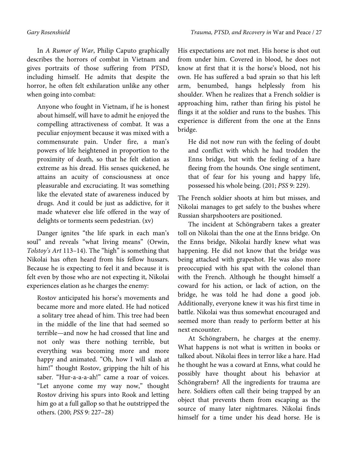In *A Rumor of War*, Philip Caputo graphically describes the horrors of combat in Vietnam and gives portraits of those suffering from PTSD, including himself. He admits that despite the horror, he often felt exhilaration unlike any other when going into combat:

Anyone who fought in Vietnam, if he is honest about himself, will have to admit he enjoyed the compelling attractiveness of combat. It was a peculiar enjoyment because it was mixed with a commensurate pain. Under fire, a man's powers of life heightened in proportion to the proximity of death, so that he felt elation as extreme as his dread. His senses quickened, he attains an acuity of consciousness at once pleasurable and excruciating. It was something like the elevated state of awareness induced by drugs. And it could be just as addictive, for it made whatever else life offered in the way of delights or torments seem pedestrian. (xv)

Danger ignites "the life spark in each man's soul" and reveals "what living means" (Orwin, *Tolstoy's Art* 113–14). The "high" is something that Nikolai has often heard from his fellow hussars. Because he is expecting to feel it and because it is felt even by those who are not expecting it, Nikolai experiences elation as he charges the enemy:

Rostov anticipated his horse's movements and became more and more elated. He had noticed a solitary tree ahead of him. This tree had been in the middle of the line that had seemed so terrible—and now he had crossed that line and not only was there nothing terrible, but everything was becoming more and more happy and animated. "Oh, how I will slash at him!" thought Rostov, gripping the hilt of his saber. "Hur-a-a-a-ah!" came a roar of voices. "Let anyone come my way now," thought Rostov driving his spurs into Rook and letting him go at a full gallop so that he outstripped the others. (200; *PSS* 9: 227–28)

His expectations are not met. His horse is shot out from under him. Covered in blood, he does not know at first that it is the horse's blood, not his own. He has suffered a bad sprain so that his left arm, benumbed, hangs helplessly from his shoulder. When he realizes that a French soldier is approaching him, rather than firing his pistol he flings it at the soldier and runs to the bushes. This experience is different from the one at the Enns bridge.

He did not now run with the feeling of doubt and conflict with which he had trodden the Enns bridge, but with the feeling of a hare fleeing from the hounds. One single sentiment, that of fear for his young and happy life, possessed his whole being. (201; *PSS* 9: 229).

The French soldier shoots at him but misses, and Nikolai manages to get safely to the bushes where Russian sharpshooters are positioned.

The incident at Schöngrabern takes a greater toll on Nikolai than the one at the Enns bridge. On the Enns bridge, Nikolai hardly knew what was happening. He did not know that the bridge was being attacked with grapeshot. He was also more preoccupied with his spat with the colonel than with the French. Although he thought himself a coward for his action, or lack of action, on the bridge, he was told he had done a good job. Additionally, everyone knew it was his first time in battle. Nikolai was thus somewhat encouraged and seemed more than ready to perform better at his next encounter.

At Schöngrabern, he charges at the enemy. What happens is not what is written in books or talked about. Nikolai flees in terror like a hare. Had he thought he was a coward at Enns, what could he possibly have thought about his behavior at Schöngrabern? All the ingredients for trauma are here. Soldiers often call their being trapped by an object that prevents them from escaping as the source of many later nightmares. Nikolai finds himself for a time under his dead horse. He is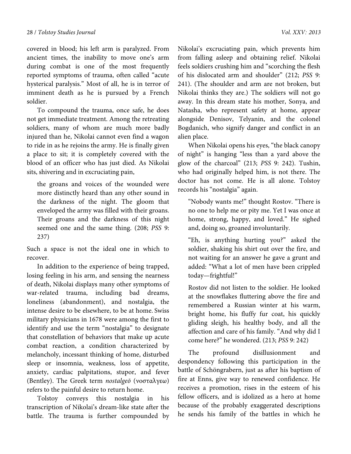covered in blood; his left arm is paralyzed. From ancient times, the inability to move one's arm during combat is one of the most frequently reported symptoms of trauma, often called "acute hysterical paralysis." Most of all, he is in terror of imminent death as he is pursued by a French soldier.

To compound the trauma, once safe, he does not get immediate treatment. Among the retreating soldiers, many of whom are much more badly injured than he, Nikolai cannot even find a wagon to ride in as he rejoins the army. He is finally given a place to sit; it is completely covered with the blood of an officer who has just died. As Nikolai sits, shivering and in excruciating pain,

the groans and voices of the wounded were more distinctly heard than any other sound in the darkness of the night. The gloom that enveloped the army was filled with their groans. Their groans and the darkness of this night seemed one and the same thing. (208; *PSS* 9: 237)

Such a space is not the ideal one in which to recover.

In addition to the experience of being trapped, losing feeling in his arm, and sensing the nearness of death, Nikolai displays many other symptoms of war-related trauma, including bad dreams, loneliness (abandonment), and nostalgia, the intense desire to be elsewhere, to be at home. Swiss military physicians in 1678 were among the first to identify and use the term "nostalgia" to designate that constellation of behaviors that make up acute combat reaction, a condition characterized by melancholy, incessant thinking of home, disturbed sleep or insomnia, weakness, loss of appetite, anxiety, cardiac palpitations, stupor, and fever (Bentley). The Greek term *nostalgeō* (νοσταλγεω) refers to the painful desire to return home.

Tolstoy conveys this nostalgia in his transcription of Nikolai's dream-like state after the battle. The trauma is further compounded by Nikolai's excruciating pain, which prevents him from falling asleep and obtaining relief. Nikolai feels soldiers crushing him and "scorching the flesh of his dislocated arm and shoulder" (212; *PSS* 9: 241). (The shoulder and arm are not broken, but Nikolai thinks they are.) The soldiers will not go away. In this dream state his mother, Sonya, and Natasha, who represent safety at home, appear alongside Denisov, Telyanin, and the colonel Bogdanich, who signify danger and conflict in an alien place.

When Nikolai opens his eyes, "the black canopy of night" is hanging "less than a yard above the glow of the charcoal" (213; *PSS* 9: 242). Tushin, who had originally helped him, is not there. The doctor has not come. He is all alone. Tolstoy records his "nostalgia" again.

"Nobody wants me!" thought Rostov. "There is no one to help me or pity me. Yet I was once at home, strong, happy, and loved." He sighed and, doing so, groaned involuntarily.

"Eh, is anything hurting you?" asked the soldier, shaking his shirt out over the fire, and not waiting for an answer he gave a grunt and added: "What a lot of men have been crippled today—frightful!"

Rostov did not listen to the soldier. He looked at the snowflakes fluttering above the fire and remembered a Russian winter at his warm, bright home, his fluffy fur coat, his quickly gliding sleigh, his healthy body, and all the affection and care of his family. "And why did I come here?" he wondered. (213; *PSS* 9: 242)

The profound disillusionment and despondency following this participation in the battle of Schöngrabern, just as after his baptism of fire at Enns, give way to renewed confidence. He receives a promotion, rises in the esteem of his fellow officers, and is idolized as a hero at home because of the probably exaggerated descriptions he sends his family of the battles in which he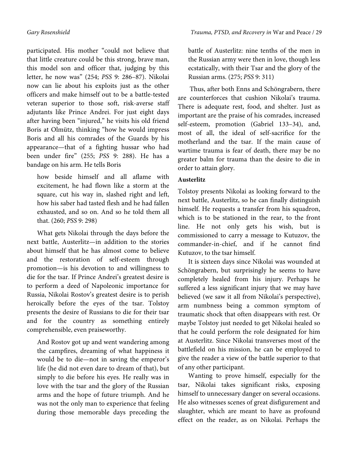participated. His mother "could not believe that that little creature could be this strong, brave man, this model son and officer that, judging by this letter, he now was" (254; *PSS* 9: 286–87). Nikolai now can lie about his exploits just as the other officers and make himself out to be a battle-tested veteran superior to those soft, risk-averse staff adjutants like Prince Andrei. For just eight days after having been "injured," he visits his old friend Boris at Olmütz, thinking "how he would impress Boris and all his comrades of the Guards by his appearance—that of a fighting hussar who had been under fire" (255; *PSS* 9: 288). He has a bandage on his arm. He tells Boris

how beside himself and all aflame with excitement, he had flown like a storm at the square, cut his way in, slashed right and left, how his saber had tasted flesh and he had fallen exhausted, and so on. And so he told them all that. (260; *PSS* 9: 298)

What gets Nikolai through the days before the next battle, Austerlitz—in addition to the stories about himself that he has almost come to believe and the restoration of self-esteem through promotion—is his devotion to and willingness to die for the tsar. If Prince Andrei's greatest desire is to perform a deed of Napoleonic importance for Russia, Nikolai Rostov's greatest desire is to perish heroically before the eyes of the tsar. Tolstoy presents the desire of Russians to die for their tsar and for the country as something entirely comprehensible, even praiseworthy.

And Rostov got up and went wandering among the campfires, dreaming of what happiness it would be to die—not in saving the emperor's life (he did not even dare to dream of that), but simply to die before his eyes. He really was in love with the tsar and the glory of the Russian arms and the hope of future triumph. And he was not the only man to experience that feeling during those memorable days preceding the

battle of Austerlitz: nine tenths of the men in the Russian army were then in love, though less ecstatically, with their Tsar and the glory of the Russian arms. (275; *PSS* 9: 311)

 Thus, after both Enns and Schöngrabern, there are counterforces that cushion Nikolai's trauma. There is adequate rest, food, and shelter. Just as important are the praise of his comrades, increased self-esteem, promotion (Gabriel 133–34), and, most of all, the ideal of self-sacrifice for the motherland and the tsar. If the main cause of wartime trauma is fear of death, there may be no greater balm for trauma than the desire to die in order to attain glory.

## **Austerlitz**

Tolstoy presents Nikolai as looking forward to the next battle, Austerlitz, so he can finally distinguish himself. He requests a transfer from his squadron, which is to be stationed in the rear, to the front line. He not only gets his wish, but is commissioned to carry a message to Kutuzov, the commander-in-chief, and if he cannot find Kutuzov, to the tsar himself.

It is sixteen days since Nikolai was wounded at Schöngrabern, but surprisingly he seems to have completely healed from his injury. Perhaps he suffered a less significant injury that we may have believed (we saw it all from Nikolai's perspective), arm numbness being a common symptom of traumatic shock that often disappears with rest. Or maybe Tolstoy just needed to get Nikolai healed so that he could perform the role designated for him at Austerlitz. Since Nikolai transverses most of the battlefield on his mission, he can be employed to give the reader a view of the battle superior to that of any other participant.

Wanting to prove himself, especially for the tsar, Nikolai takes significant risks, exposing himself to unnecessary danger on several occasions. He also witnesses scenes of great disfigurement and slaughter, which are meant to have as profound effect on the reader, as on Nikolai. Perhaps the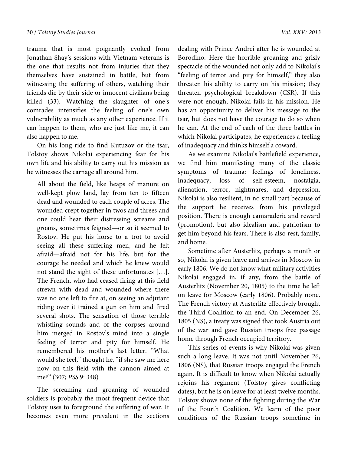trauma that is most poignantly evoked from Jonathan Shay's sessions with Vietnam veterans is the one that results not from injuries that they themselves have sustained in battle, but from witnessing the suffering of others, watching their friends die by their side or innocent civilians being killed (33). Watching the slaughter of one's comrades intensifies the feeling of one's own vulnerability as much as any other experience. If it can happen to them, who are just like me, it can also happen to me.

On his long ride to find Kutuzov or the tsar, Tolstoy shows Nikolai experiencing fear for his own life and his ability to carry out his mission as he witnesses the carnage all around him.

All about the field, like heaps of manure on well-kept plow land, lay from ten to fifteen dead and wounded to each couple of acres. The wounded crept together in twos and threes and one could hear their distressing screams and groans, sometimes feigned—or so it seemed to Rostov. He put his horse to a trot to avoid seeing all these suffering men, and he felt afraid—afraid not for his life, but for the courage he needed and which he knew would not stand the sight of these unfortunates […]. The French, who had ceased firing at this field strewn with dead and wounded where there was no one left to fire at, on seeing an adjutant riding over it trained a gun on him and fired several shots. The sensation of those terrible whistling sounds and of the corpses around him merged in Rostov's mind into a single feeling of terror and pity for himself. He remembered his mother's last letter. "What would she feel," thought he, "if she saw me here now on this field with the cannon aimed at me?" (307; *PSS* 9: 348)

The screaming and groaning of wounded soldiers is probably the most frequent device that Tolstoy uses to foreground the suffering of war. It becomes even more prevalent in the sections

dealing with Prince Andrei after he is wounded at Borodino. Here the horrible groaning and grisly spectacle of the wounded not only add to Nikolai's "feeling of terror and pity for himself," they also threaten his ability to carry on his mission; they threaten psychological breakdown (CSR). If this were not enough, Nikolai fails in his mission. He has an opportunity to deliver his message to the tsar, but does not have the courage to do so when he can. At the end of each of the three battles in which Nikolai participates, he experiences a feeling of inadequacy and thinks himself a coward.

As we examine Nikolai's battlefield experience, we find him manifesting many of the classic symptoms of trauma: feelings of loneliness,<br>inadequacy, loss of self-esteem, nostalgia, loss of self-esteem, nostalgia, alienation, terror, nightmares, and depression. Nikolai is also resilient, in no small part because of the support he receives from his privileged position. There is enough camaraderie and reward (promotion), but also idealism and patriotism to get him beyond his fears. There is also rest, family, and home.

Sometime after Austerlitz, perhaps a month or so, Nikolai is given leave and arrives in Moscow in early 1806. We do not know what military activities Nikolai engaged in, if any, from the battle of Austerlitz (November 20, 1805) to the time he left on leave for Moscow (early 1806). Probably none. The French victory at Austerlitz effectively brought the Third Coalition to an end. On December 26, 1805 (NS), a treaty was signed that took Austria out of the war and gave Russian troops free passage home through French occupied territory.

This series of events is why Nikolai was given such a long leave. It was not until November 26, 1806 (NS), that Russian troops engaged the French again. It is difficult to know when Nikolai actually rejoins his regiment (Tolstoy gives conflicting dates), but he is on leave for at least twelve months. Tolstoy shows none of the fighting during the War of the Fourth Coalition. We learn of the poor conditions of the Russian troops sometime in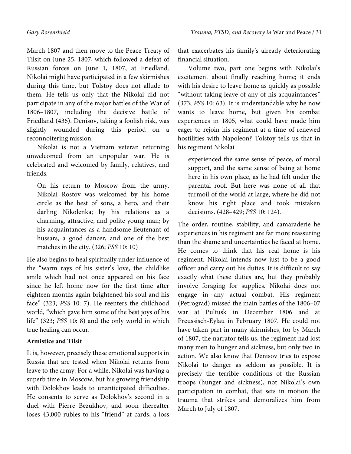March 1807 and then move to the Peace Treaty of Tilsit on June 25, 1807, which followed a defeat of Russian forces on June 1, 1807, at Friedland. Nikolai might have participated in a few skirmishes during this time, but Tolstoy does not allude to them. He tells us only that the Nikolai did not participate in any of the major battles of the War of 1806–1807, including the decisive battle of Friedland (436). Denisov, taking a foolish risk, was slightly wounded during this period on a reconnoitering mission.

Nikolai is not a Vietnam veteran returning unwelcomed from an unpopular war. He is celebrated and welcomed by family, relatives, and friends.

On his return to Moscow from the army, Nikolai Rostov was welcomed by his home circle as the best of sons, a hero, and their darling Nikolenka; by his relations as a charming, attractive, and polite young man; by his acquaintances as a handsome lieutenant of hussars, a good dancer, and one of the best matches in the city. (326; *PSS* 10: 10)

He also begins to heal spiritually under influence of the "warm rays of his sister's love, the childlike smile which had not once appeared on his face since he left home now for the first time after eighteen months again brightened his soul and his face" (323; *PSS* 10: 7). He reenters the childhood world, "which gave him some of the best joys of his life" (323; *PSS* 10: 8) and the only world in which true healing can occur.

# **Armistice and Tilsit**

It is, however, precisely these emotional supports in Russia that are tested when Nikolai returns from leave to the army. For a while, Nikolai was having a superb time in Moscow, but his growing friendship with Dolokhov leads to unanticipated difficulties. He consents to serve as Dolokhov's second in a duel with Pierre Bezukhov, and soon thereafter loses 43,000 rubles to his "friend" at cards, a loss

that exacerbates his family's already deteriorating financial situation.

Volume two, part one begins with Nikolai's excitement about finally reaching home; it ends with his desire to leave home as quickly as possible "without taking leave of any of his acquaintances" (373; *PSS* 10: 63). It is understandable why he now wants to leave home, but given his combat experiences in 1805, what could have made him eager to rejoin his regiment at a time of renewed hostilities with Napoleon? Tolstoy tells us that in his regiment Nikolai

experienced the same sense of peace, of moral support, and the same sense of being at home here in his own place, as he had felt under the parental roof. But here was none of all that turmoil of the world at large, where he did not know his right place and took mistaken decisions. (428–429; *PSS* 10: 124).

The order, routine, stability, and camaraderie he experiences in his regiment are far more reassuring than the shame and uncertainties he faced at home. He comes to think that his real home is his regiment. Nikolai intends now just to be a good officer and carry out his duties. It is difficult to say exactly what these duties are, but they probably involve foraging for supplies. Nikolai does not engage in any actual combat. His regiment (Petrograd) missed the main battles of the 1806–07 war at Pultusk in December 1806 and at Preussisch-Eylau in February 1807. He could not have taken part in many skirmishes, for by March of 1807, the narrator tells us, the regiment had lost many men to hunger and sickness, but only two in action. We also know that Denisov tries to expose Nikolai to danger as seldom as possible. It is precisely the terrible conditions of the Russian troops (hunger and sickness), not Nikolai's own participation in combat, that sets in motion the trauma that strikes and demoralizes him from March to July of 1807.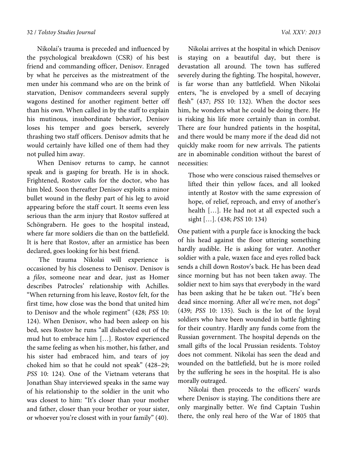Nikolai's trauma is preceded and influenced by the psychological breakdown (CSR) of his best friend and commanding officer, Denisov. Enraged by what he perceives as the mistreatment of the men under his command who are on the brink of starvation, Denisov commandeers several supply wagons destined for another regiment better off than his own. When called in by the staff to explain his mutinous, insubordinate behavior, Denisov loses his temper and goes berserk, severely thrashing two staff officers. Denisov admits that he would certainly have killed one of them had they not pulled him away.

When Denisov returns to camp, he cannot speak and is gasping for breath. He is in shock. Frightened, Rostov calls for the doctor, who has him bled. Soon thereafter Denisov exploits a minor bullet wound in the fleshy part of his leg to avoid appearing before the staff court. It seems even less serious than the arm injury that Rostov suffered at Schöngrabern. He goes to the hospital instead, where far more soldiers die than on the battlefield. It is here that Rostov, after an armistice has been declared, goes looking for his best friend.

 The trauma Nikolai will experience is occasioned by his closeness to Denisov. Denisov is a *filos*, someone near and dear, just as Homer describes Patrocles' relationship with Achilles. "When returning from his leave, Rostov felt, for the first time, how close was the bond that united him to Denisov and the whole regiment" (428; *PSS* 10: 124). When Denisov, who had been asleep on his bed, sees Rostov he runs "all disheveled out of the mud hut to embrace him […]. Rostov experienced the same feeling as when his mother, his father, and his sister had embraced him, and tears of joy choked him so that he could not speak" (428–29; *PSS* 10: 124). One of the Vietnam veterans that Jonathan Shay interviewed speaks in the same way of his relationship to the soldier in the unit who was closest to him: "It's closer than your mother and father, closer than your brother or your sister, or whoever you're closest with in your family" (40).

Nikolai arrives at the hospital in which Denisov is staying on a beautiful day, but there is devastation all around. The town has suffered severely during the fighting. The hospital, however, is far worse than any battlefield. When Nikolai enters, "he is enveloped by a smell of decaying flesh" (437; *PSS* 10: 132). When the doctor sees him, he wonders what he could be doing there. He is risking his life more certainly than in combat. There are four hundred patients in the hospital, and there would be many more if the dead did not quickly make room for new arrivals. The patients are in abominable condition without the barest of necessities:

Those who were conscious raised themselves or lifted their thin yellow faces, and all looked intently at Rostov with the same expression of hope, of relief, reproach, and envy of another's health […]. He had not at all expected such a sight […]. (438; *PSS* 10: 134)

One patient with a purple face is knocking the back of his head against the floor uttering something hardly audible. He is asking for water. Another soldier with a pale, waxen face and eyes rolled back sends a chill down Rostov's back. He has been dead since morning but has not been taken away. The soldier next to him says that everybody in the ward has been asking that he be taken out. "He's been dead since morning. After all we're men, not dogs" (439; *PSS* 10: 135). Such is the lot of the loyal soldiers who have been wounded in battle fighting for their country. Hardly any funds come from the Russian government. The hospital depends on the small gifts of the local Prussian residents. Tolstoy does not comment. Nikolai has seen the dead and wounded on the battlefield, but he is more roiled by the suffering he sees in the hospital. He is also morally outraged.

Nikolai then proceeds to the officers' wards where Denisov is staying. The conditions there are only marginally better. We find Captain Tushin there, the only real hero of the War of 1805 that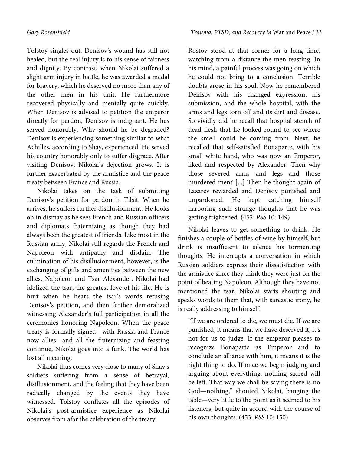Tolstoy singles out. Denisov's wound has still not healed, but the real injury is to his sense of fairness and dignity. By contrast, when Nikolai suffered a slight arm injury in battle, he was awarded a medal for bravery, which he deserved no more than any of the other men in his unit. He furthermore recovered physically and mentally quite quickly. When Denisov is advised to petition the emperor directly for pardon, Denisov is indignant. He has served honorably. Why should he be degraded? Denisov is experiencing something similar to what Achilles, according to Shay, experienced. He served his country honorably only to suffer disgrace. After visiting Denisov, Nikolai's dejection grows. It is further exacerbated by the armistice and the peace treaty between France and Russia.

Nikolai takes on the task of submitting Denisov's petition for pardon in Tilsit. When he arrives, he suffers further disillusionment. He looks on in dismay as he sees French and Russian officers and diplomats fraternizing as though they had always been the greatest of friends. Like most in the Russian army, Nikolai still regards the French and Napoleon with antipathy and disdain. The culmination of his disillusionment, however, is the exchanging of gifts and amenities between the new allies, Napoleon and Tsar Alexander. Nikolai had idolized the tsar, the greatest love of his life. He is hurt when he hears the tsar's words refusing Denisov's petition, and then further demoralized witnessing Alexander's full participation in all the ceremonies honoring Napoleon. When the peace treaty is formally signed—with Russia and France now allies—and all the fraternizing and feasting continue, Nikolai goes into a funk. The world has lost all meaning.

Nikolai thus comes very close to many of Shay's soldiers suffering from a sense of betrayal, disillusionment, and the feeling that they have been radically changed by the events they have witnessed. Tolstoy conflates all the episodes of Nikolai's post-armistice experience as Nikolai observes from afar the celebration of the treaty:

Rostov stood at that corner for a long time, watching from a distance the men feasting. In his mind, a painful process was going on which he could not bring to a conclusion. Terrible doubts arose in his soul. Now he remembered Denisov with his changed expression, his submission, and the whole hospital, with the arms and legs torn off and its dirt and disease. So vividly did he recall that hospital stench of dead flesh that he looked round to see where the smell could be coming from. Next, he recalled that self-satisfied Bonaparte, with his small white hand, who was now an Emperor, liked and respected by Alexander. Then why those severed arms and legs and those murdered men? [...] Then he thought again of Lazarev rewarded and Denisov punished and unpardoned. He kept catching himself harboring such strange thoughts that he was getting frightened. (452; *PSS* 10: 149)

Nikolai leaves to get something to drink. He finishes a couple of bottles of wine by himself, but drink is insufficient to silence his tormenting thoughts. He interrupts a conversation in which Russian soldiers express their dissatisfaction with the armistice since they think they were just on the point of beating Napoleon. Although they have not mentioned the tsar, Nikolai starts shouting and speaks words to them that, with sarcastic irony, he is really addressing to himself.

"If we are ordered to die, we must die. If we are punished, it means that we have deserved it, it's not for us to judge. If the emperor pleases to recognize Bonaparte as Emperor and to conclude an alliance with him, it means it is the right thing to do. If once we begin judging and arguing about everything, nothing sacred will be left. That way we shall be saying there is no God—nothing," shouted Nikolai, banging the table—very little to the point as it seemed to his listeners, but quite in accord with the course of his own thoughts. (453; *PSS* 10: 150)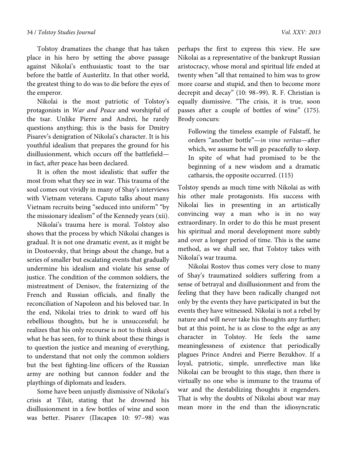Tolstoy dramatizes the change that has taken place in his hero by setting the above passage against Nikolai's enthusiastic toast to the tsar before the battle of Austerlitz. In that other world, the greatest thing to do was to die before the eyes of the emperor.

Nikolai is the most patriotic of Tolstoy's protagonists in *War and Peace* and worshipful of the tsar. Unlike Pierre and Andrei, he rarely questions anything; this is the basis for Dmitry Pisarev's denigration of Nikolai's character. It is his youthful idealism that prepares the ground for his disillusionment, which occurs off the battlefield in fact, after peace has been declared.

It is often the most idealistic that suffer the most from what they see in war. This trauma of the soul comes out vividly in many of Shay's interviews with Vietnam veterans. Caputo talks about many Vietnam recruits being "seduced into uniform" "by the missionary idealism" of the Kennedy years (xii).

Nikolai's trauma here is moral. Tolstoy also shows that the process by which Nikolai changes is gradual. It is not one dramatic event, as it might be in Dostoevsky, that brings about the change, but a series of smaller but escalating events that gradually undermine his idealism and violate his sense of justice. The condition of the common soldiers, the mistreatment of Denisov, the fraternizing of the French and Russian officials, and finally the reconciliation of Napoleon and his beloved tsar. In the end, Nikolai tries to drink to ward off his rebellious thoughts, but he is unsuccessful; he realizes that his only recourse is not to think about what he has seen, for to think about these things is to question the justice and meaning of everything, to understand that not only the common soldiers but the best fighting-line officers of the Russian army are nothing but cannon fodder and the playthings of diplomats and leaders.

Some have been unjustly dismissive of Nikolai's crisis at Tilsit, stating that he drowned his disillusionment in a few bottles of wine and soon was better. Pisarev (Писарев 10: 97–98) was perhaps the first to express this view. He saw Nikolai as a representative of the bankrupt Russian aristocracy, whose moral and spiritual life ended at twenty when "all that remained to him was to grow more coarse and stupid, and then to become more decrepit and decay" (10: 98–99). R. F. Christian is equally dismissive. "The crisis, it is true, soon passes after a couple of bottles of wine" (175). Brody concurs:

Following the timeless example of Falstaff, he orders "another bottle"—*in vino veritas*—after which, we assume he will go peacefully to sleep. In spite of what had promised to be the beginning of a new wisdom and a dramatic catharsis, the opposite occurred. (115)

Tolstoy spends as much time with Nikolai as with his other male protagonists. His success with Nikolai lies in presenting in an artistically convincing way a man who is in no way extraordinary. In order to do this he must present his spiritual and moral development more subtly and over a longer period of time. This is the same method, as we shall see, that Tolstoy takes with Nikolai's war trauma.

Nikolai Rostov thus comes very close to many of Shay's traumatized soldiers suffering from a sense of betrayal and disillusionment and from the feeling that they have been radically changed not only by the events they have participated in but the events they have witnessed. Nikolai is not a rebel by nature and will never take his thoughts any further; but at this point, he is as close to the edge as any character in Tolstoy. He feels the same meaninglessness of existence that periodically plagues Prince Andrei and Pierre Bezukhov. If a loyal, patriotic, simple, unreflective man like Nikolai can be brought to this stage, then there is virtually no one who is immune to the trauma of war and the destabilizing thoughts it engenders. That is why the doubts of Nikolai about war may mean more in the end than the idiosyncratic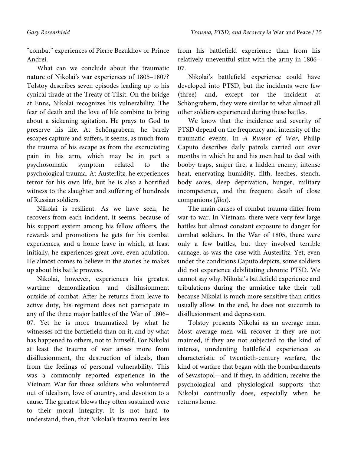"combat" experiences of Pierre Bezukhov or Prince Andrei.

What can we conclude about the traumatic nature of Nikolai's war experiences of 1805–1807? Tolstoy describes seven episodes leading up to his cynical tirade at the Treaty of Tilsit. On the bridge at Enns, Nikolai recognizes his vulnerability. The fear of death and the love of life combine to bring about a sickening agitation. He prays to God to preserve his life. At Schöngrabern, he barely escapes capture and suffers, it seems, as much from the trauma of his escape as from the excruciating pain in his arm, which may be in part a psychosomatic symptom related to the psychological trauma. At Austerlitz, he experiences terror for his own life, but he is also a horrified witness to the slaughter and suffering of hundreds of Russian soldiers.

Nikolai is resilient. As we have seen, he recovers from each incident, it seems, because of his support system among his fellow officers, the rewards and promotions he gets for his combat experiences, and a home leave in which, at least initially, he experiences great love, even adulation. He almost comes to believe in the stories he makes up about his battle prowess.

Nikolai, however, experiences his greatest wartime demoralization and disillusionment outside of combat. After he returns from leave to active duty, his regiment does not participate in any of the three major battles of the War of 1806– 07. Yet he is more traumatized by what he witnesses off the battlefield than on it, and by what has happened to others, not to himself. For Nikolai at least the trauma of war arises more from disillusionment, the destruction of ideals, than from the feelings of personal vulnerability. This was a commonly reported experience in the Vietnam War for those soldiers who volunteered out of idealism, love of country, and devotion to a cause. The greatest blows they often sustained were to their moral integrity. It is not hard to understand, then, that Nikolai's trauma results less

from his battlefield experience than from his relatively uneventful stint with the army in 1806– 07.

Nikolai's battlefield experience could have developed into PTSD, but the incidents were few (three) and, except for the incident at Schöngrabern, they were similar to what almost all other soldiers experienced during these battles.

We know that the incidence and severity of PTSD depend on the frequency and intensity of the traumatic events. In *A Rumor of War*, Philip Caputo describes daily patrols carried out over months in which he and his men had to deal with booby traps, sniper fire, a hidden enemy, intense heat, enervating humidity, filth, leeches, stench, body sores, sleep deprivation, hunger, military incompetence, and the frequent death of close companions (*filoi*).

The main causes of combat trauma differ from war to war. In Vietnam, there were very few large battles but almost constant exposure to danger for combat soldiers. In the War of 1805, there were only a few battles, but they involved terrible carnage, as was the case with Austerlitz. Yet, even under the conditions Caputo depicts, some soldiers did not experience debilitating chronic PTSD. We cannot say why. Nikolai's battlefield experience and tribulations during the armistice take their toll because Nikolai is much more sensitive than critics usually allow. In the end, he does not succumb to disillusionment and depression.

Tolstoy presents Nikolai as an average man. Most average men will recover if they are not maimed, if they are not subjected to the kind of intense, unrelenting battlefield experiences so characteristic of twentieth-century warfare, the kind of warfare that began with the bombardments of Sevastopol—and if they, in addition, receive the psychological and physiological supports that Nikolai continually does, especially when he returns home.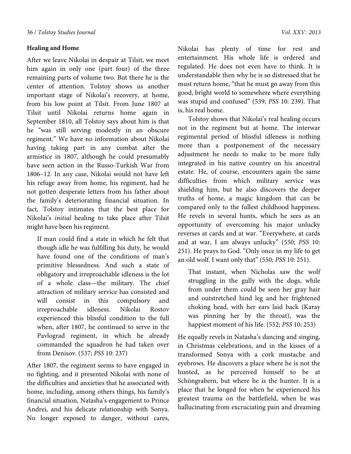### **Healing and Home**

After we leave Nikolai in despair at Tilsit, we meet him again in only one (part four) of the three remaining parts of volume two. But there he is the center of attention. Tolstoy shows us another important stage of Nikolai's recovery, at home, from his low point at Tilsit. From June 1807 at Tilsit until Nikolai returns home again in September 1810, all Tolstoy says about him is that he "was still serving modestly in an obscure regiment." We have no information about Nikolai having taking part in any combat after the armistice in 1807, although he could presumably have seen action in the Russo-Turkish War from 1806–12. In any case, Nikolai would not have left his refuge away from home, his regiment, had he not gotten desperate letters from his father about the family's deteriorating financial situation. In fact, Tolstoy intimates that the best place for Nikolai's *initial* healing to take place after Tilsit might have been his regiment.

If man could find a state in which he felt that though idle he was fulfilling his duty, he would have found one of the conditions of man's primitive blessedness. And such a state of obligatory and irreproachable idleness is the lot of a whole class—the military. The chief attraction of military service has consisted and will consist in this compulsory and irreproachable idleness. Nikolai Rostov experienced this blissful condition to the full when, after 1807, he continued to serve in the Pavlograd regiment, in which he already commanded the squadron he had taken over from Denisov. (537; *PSS* 10: 237)

After 1807, the regiment seems to have engaged in no fighting, and it presented Nikolai with none of the difficulties and anxieties that he associated with home, including, among others things, his family's financial situation, Natasha's engagement to Prince Andrei, and his delicate relationship with Sonya. No longer exposed to danger, without cares,

Nikolai has plenty of time for rest and entertainment. His whole life is ordered and regulated. He does not even have to think. It is understandable then why he is so distressed that he must return home, "that he must go away from this good, bright world to somewhere where everything was stupid and confused" (539; *PSS* 10: 239). That is, his real home.

Tolstoy shows that Nikolai's real healing occurs not in the regiment but at home. The interwar regimental period of blissful idleness is nothing more than a postponement of the necessary adjustment he needs to make to be more fully integrated in his native country on his ancestral estate. He, of course, encounters again the same difficulties from which military service was shielding him, but he also discovers the deeper truths of home, a magic kingdom that can be compared only to the fullest childhood happiness. He revels in several hunts, which he sees as an opportunity of overcoming his major unlucky reverses at cards and at war. "Everywhere, at cards and at war, I am always unlucky" (550; *PSS* 10: 251). He prays to God. "Only once in my life to get an old wolf. I want only that" (550; *PSS* 10: 251).

That instant, when Nicholas saw the wolf struggling in the gully with the dogs, while from under them could be seen her gray hair and outstretched hind leg and her frightened choking head, with her ears laid back (Karay was pinning her by the throat), was the happiest moment of his life. (552; *PSS* 10: 253)

He equally revels in Natasha's dancing and singing, in Christmas celebrations, and in the kisses of a transformed Sonya with a cork mustache and eyebrows. He discovers a place where he is not the hunted, as he perceived himself to be at Schöngrabern, but where he is the hunter. It is a place that he longed for when he experienced his greatest trauma on the battlefield, when he was hallucinating from excruciating pain and dreaming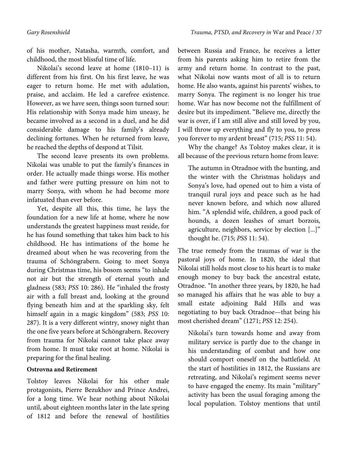of his mother, Natasha, warmth, comfort, and childhood, the most blissful time of life.

Nikolai's second leave at home (1810–11) is different from his first. On his first leave, he was eager to return home. He met with adulation, praise, and acclaim. He led a carefree existence. However, as we have seen, things soon turned sour: His relationship with Sonya made him uneasy, he became involved as a second in a duel, and he did considerable damage to his family's already declining fortunes. When he returned from leave, he reached the depths of despond at Tilsit.

The second leave presents its own problems. Nikolai was unable to put the family's finances in order. He actually made things worse. His mother and father were putting pressure on him not to marry Sonya, with whom he had become more infatuated than ever before.

Yet, despite all this, this time, he lays the foundation for a new life at home, where he now understands the greatest happiness must reside, for he has found something that takes him back to his childhood. He has intimations of the home he dreamed about when he was recovering from the trauma of Schöngrabern. Going to meet Sonya during Christmas time, his bosom seems "to inhale not air but the strength of eternal youth and gladness (583; *PSS* 10: 286). He "inhaled the frosty air with a full breast and, looking at the ground flying beneath him and at the sparkling sky, felt himself again in a magic kingdom" (583; *PSS* 10: 287). It is a very different wintry, snowy night than the one five years before at Schöngrabern. Recovery from trauma for Nikolai cannot take place away from home. It must take root at home. Nikolai is preparing for the final healing.

# **Ostrovna and Retirement**

Tolstoy leaves Nikolai for his other male protagonists, Pierre Bezukhov and Prince Andrei, for a long time. We hear nothing about Nikolai until, about eighteen months later in the late spring of 1812 and before the renewal of hostilities between Russia and France, he receives a letter from his parents asking him to retire from the army and return home. In contrast to the past, what Nikolai now wants most of all is to return home. He also wants, against his parents' wishes, to marry Sonya. The regiment is no longer his true home. War has now become not the fulfillment of desire but its impediment. "Believe me, directly the war is over, if I am still alive and still loved by you, I will throw up everything and fly to you, to press you forever to my ardent breast" (715; *PSS* 11: 54).

Why the change? As Tolstoy makes clear, it is all because of the previous return home from leave:

The autumn in Otradnoe with the hunting, and the winter with the Christmas holidays and Sonya's love, had opened out to him a vista of tranquil rural joys and peace such as he had never known before, and which now allured him. "A splendid wife, children, a good pack of hounds, a dozen leashes of smart borzois, agriculture, neighbors, service by election [...]" thought he. (715; *PSS* 11: 54).

The true remedy from the traumas of war is the pastoral joys of home. In 1820, the ideal that Nikolai still holds most close to his heart is to make enough money to buy back the ancestral estate, Otradnoe. "In another three years, by 1820, he had so managed his affairs that he was able to buy a small estate adjoining Bald Hills and was negotiating to buy back Otradnoe—that being his most cherished dream" (1271; *PSS* 12: 254).

Nikolai's turn towards home and away from military service is partly due to the change in his understanding of combat and how one should comport oneself on the battlefield. At the start of hostilities in 1812, the Russians are retreating, and Nikolai's regiment seems never to have engaged the enemy. Its main "military" activity has been the usual foraging among the local population. Tolstoy mentions that until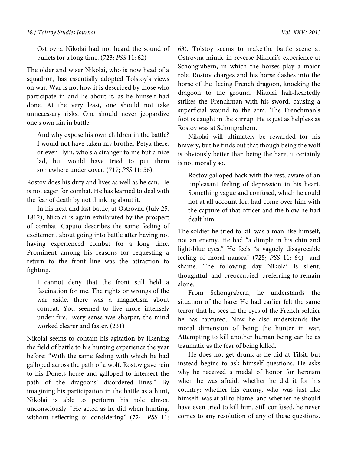#### 38 / *Tolstoy Studies Journal Vol. XXV: 2013*

Ostrovna Nikolai had not heard the sound of bullets for a long time. (723; *PSS* 11: 62)

The older and wiser Nikolai, who is now head of a squadron, has essentially adopted Tolstoy's views on war. War is not how it is described by those who participate in and lie about it, as he himself had done. At the very least, one should not take unnecessary risks. One should never jeopardize one's own kin in battle.

And why expose his own children in the battle? I would not have taken my brother Petya there, or even Ilyin, who's a stranger to me but a nice lad, but would have tried to put them somewhere under cover. (717; *PSS* 11: 56).

Rostov does his duty and lives as well as he can. He is not eager for combat. He has learned to deal with the fear of death by not thinking about it.

In his next and last battle, at Ostrovna (July 25, 1812), Nikolai is again exhilarated by the prospect of combat. Caputo describes the same feeling of excitement about going into battle after having not having experienced combat for a long time. Prominent among his reasons for requesting a return to the front line was the attraction to fighting.

I cannot deny that the front still held a fascination for me. The rights or wrongs of the war aside, there was a magnetism about combat. You seemed to live more intensely under fire. Every sense was sharper, the mind worked clearer and faster. (231)

Nikolai seems to contain his agitation by likening the field of battle to his hunting experience the year before: "With the same feeling with which he had galloped across the path of a wolf, Rostov gave rein to his Donets horse and galloped to intersect the path of the dragoons' disordered lines." By imagining his participation in the battle as a hunt, Nikolai is able to perform his role almost unconsciously. "He acted as he did when hunting, without reflecting or considering" (724; *PSS* 11:

63). Tolstoy seems to make the battle scene at Ostrovna mimic in reverse Nikolai's experience at Schöngrabern, in which the horses play a major role. Rostov charges and his horse dashes into the horse of the fleeing French dragoon, knocking the dragoon to the ground. Nikolai half-heartedly strikes the Frenchman with his sword, causing a superficial wound to the arm. The Frenchman's foot is caught in the stirrup. He is just as helpless as Rostov was at Schöngrabern.

Nikolai will ultimately be rewarded for his bravery, but he finds out that though being the wolf is obviously better than being the hare, it certainly is not morally so.

Rostov galloped back with the rest, aware of an unpleasant feeling of depression in his heart. Something vague and confused, which he could not at all account for, had come over him with the capture of that officer and the blow he had dealt him.

The soldier he tried to kill was a man like himself, not an enemy. He had "a dimple in his chin and light-blue eyes." He feels "a vaguely disagreeable feeling of moral nausea" (725; *PSS* 11: 64)—and shame. The following day Nikolai is silent, thoughtful, and preoccupied, preferring to remain alone.

From Schöngrabern, he understands the situation of the hare: He had earlier felt the same terror that he sees in the eyes of the French soldier he has captured. Now he also understands the moral dimension of being the hunter in war. Attempting to kill another human being can be as traumatic as the fear of being killed.

He does not get drunk as he did at Tilsit, but instead begins to ask himself questions. He asks why he received a medal of honor for heroism when he was afraid; whether he did it for his country; whether his enemy, who was just like himself, was at all to blame; and whether he should have even tried to kill him. Still confused, he never comes to any resolution of any of these questions.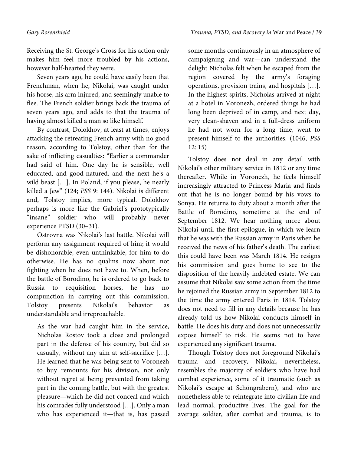Receiving the St. George's Cross for his action only makes him feel more troubled by his actions, however half-hearted they were.

Seven years ago, he could have easily been that Frenchman, when he, Nikolai, was caught under his horse, his arm injured, and seemingly unable to flee. The French soldier brings back the trauma of seven years ago, and adds to that the trauma of having almost killed a man so like himself.

By contrast, Dolokhov, at least at times, enjoys attacking the retreating French army with no good reason, according to Tolstoy, other than for the sake of inflicting casualties: "Earlier a commander had said of him. One day he is sensible, well educated, and good-natured, and the next he's a wild beast […]. In Poland, if you please, he nearly killed a Jew" (124; *PSS* 9: 144). Nikolai is different and, Tolstoy implies, more typical. Dolokhov perhaps is more like the Gabriel's prototypically "insane" soldier who will probably never experience PTSD (30–31).

Ostrovna was Nikolai's last battle. Nikolai will perform any assignment required of him; it would be dishonorable, even unthinkable, for him to do otherwise. He has no qualms now about not fighting when he does not have to. When, before the battle of Borodino, he is ordered to go back to Russia to requisition horses, he has no compunction in carrying out this commission. Tolstoy presents Nikolai's behavior as understandable and irreproachable.

As the war had caught him in the service, Nicholas Rostov took a close and prolonged part in the defense of his country, but did so casually, without any aim at self-sacrifice […]. He learned that he was being sent to Voronezh to buy remounts for his division, not only without regret at being prevented from taking part in the coming battle, but with the greatest pleasure—which he did not conceal and which his comrades fully understood […]. Only a man who has experienced it—that is, has passed

some months continuously in an atmosphere of campaigning and war—can understand the delight Nicholas felt when he escaped from the region covered by the army's foraging operations, provision trains, and hospitals […]. In the highest spirits, Nicholas arrived at night at a hotel in Voronezh, ordered things he had long been deprived of in camp, and next day, very clean-shaven and in a full-dress uniform he had not worn for a long time, went to present himself to the authorities. (1046; *PSS*  12: 15)

Tolstoy does not deal in any detail with Nikolai's other military service in 1812 or any time thereafter. While in Voronezh, he feels himself increasingly attracted to Princess Maria and finds out that he is no longer bound by his vows to Sonya. He returns to duty about a month after the Battle of Borodino, sometime at the end of September 1812. We hear nothing more about Nikolai until the first epilogue, in which we learn that he was with the Russian army in Paris when he received the news of his father's death. The earliest this could have been was March 1814. He resigns his commission and goes home to see to the disposition of the heavily indebted estate. We can assume that Nikolai saw some action from the time he rejoined the Russian army in September 1812 to the time the army entered Paris in 1814. Tolstoy does not need to fill in any details because he has already told us how Nikolai conducts himself in battle: He does his duty and does not unnecessarily expose himself to risk. He seems not to have experienced any significant trauma.

Though Tolstoy does not foreground Nikolai's trauma and recovery, Nikolai, nevertheless, resembles the majority of soldiers who have had combat experience, some of it traumatic (such as Nikolai's escape at Schöngrabern), and who are nonetheless able to reintegrate into civilian life and lead normal, productive lives. The goal for the average soldier, after combat and trauma, is to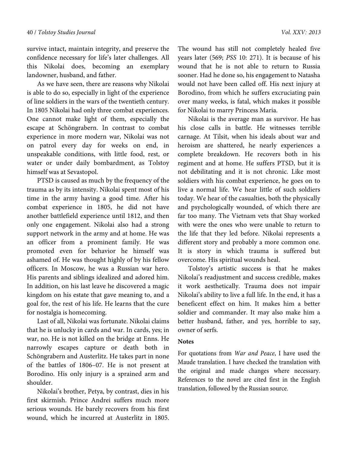survive intact, maintain integrity, and preserve the confidence necessary for life's later challenges. All this Nikolai does, becoming an exemplary landowner, husband, and father.

As we have seen, there are reasons why Nikolai is able to do so, especially in light of the experience of line soldiers in the wars of the twentieth century. In 1805 Nikolai had only three combat experiences. One cannot make light of them, especially the escape at Schöngrabern. In contrast to combat experience in more modern war, Nikolai was not on patrol every day for weeks on end, in unspeakable conditions, with little food, rest, or water or under daily bombardment, as Tolstoy himself was at Sevastopol.

PTSD is caused as much by the frequency of the trauma as by its intensity. Nikolai spent most of his time in the army having a good time. After his combat experience in 1805, he did not have another battlefield experience until 1812, and then only one engagement. Nikolai also had a strong support network in the army and at home. He was an officer from a prominent family. He was promoted even for behavior he himself was ashamed of. He was thought highly of by his fellow officers. In Moscow, he was a Russian war hero. His parents and siblings idealized and adored him. In addition, on his last leave he discovered a magic kingdom on his estate that gave meaning to, and a goal for, the rest of his life. He learns that the cure for nostalgia is homecoming.

Last of all, Nikolai was fortunate. Nikolai claims that he is unlucky in cards and war. In cards, yes; in war, no. He is not killed on the bridge at Enns. He narrowly escapes capture or death both in Schöngrabern and Austerlitz. He takes part in none of the battles of 1806–07. He is not present at Borodino. His only injury is a sprained arm and shoulder.

Nikolai's brother, Petya, by contrast, dies in his first skirmish. Prince Andrei suffers much more serious wounds. He barely recovers from his first wound, which he incurred at Austerlitz in 1805. The wound has still not completely healed five years later (569; *PSS* 10: 271). It is because of his wound that he is not able to return to Russia sooner. Had he done so, his engagement to Natasha would not have been called off. His next injury at Borodino, from which he suffers excruciating pain over many weeks, is fatal, which makes it possible for Nikolai to marry Princess Maria.

Nikolai is the average man as survivor. He has his close calls in battle. He witnesses terrible carnage. At Tilsit, when his ideals about war and heroism are shattered, he nearly experiences a complete breakdown. He recovers both in his regiment and at home. He suffers PTSD, but it is not debilitating and it is not chronic. Like most soldiers with his combat experience, he goes on to live a normal life. We hear little of such soldiers today. We hear of the casualties, both the physically and psychologically wounded, of which there are far too many. The Vietnam vets that Shay worked with were the ones who were unable to return to the life that they led before. Nikolai represents a different story and probably a more common one. It is story in which trauma is suffered but overcome. His spiritual wounds heal.

Tolstoy's artistic success is that he makes Nikolai's readjustment and success credible, makes it work aesthetically. Trauma does not impair Nikolai's ability to live a full life. In the end, it has a beneficent effect on him. It makes him a better soldier and commander. It may also make him a better husband, father, and yes, horrible to say, owner of serfs.

#### **Notes**

For quotations from *War and Peace*, I have used the Maude translation. I have checked the translation with the original and made changes where necessary. References to the novel are cited first in the English translation, followed by the Russian source.